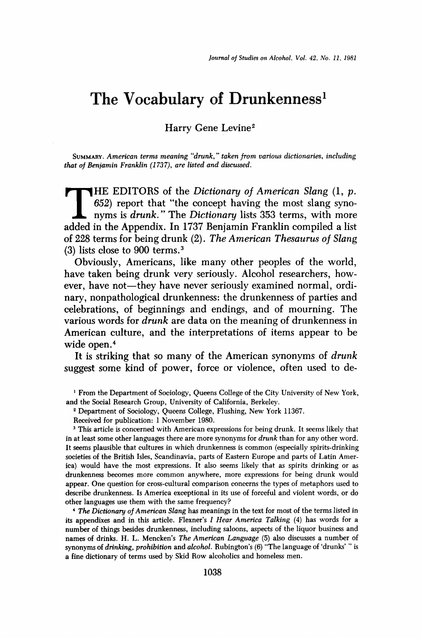# The Vocabulary of Drunkenness<sup>1</sup>

Harry Gene Levine<sup>2</sup>

SUMMARY. American terms meaning "drunk," taken from various dictionaries, including that of Benjamin Franklin (1737), are listed and discussed.

**HE EDITORS OF THE Dictionary of INNOVICION SLANG (1, p.** <br>652) report that "the concept having the most slang syno-<br>
anyms is *drunk.*" The Dictionary lists 353 terms, with more **added in the Appendix. In 1737 Benjamin Franklin compiled a list**  of 228 terms for being drunk (2). The American Thesaurus of Slang **(3) lists dose to 900 terms. 3** 

**Obviously, Americans, like many other peoples of the world, have taken being drunk very seriously. Alcohol researchers, how**ever, have not—they have never seriously examined normal, ordi**nary, nonpathological drunkenness: the drunkenness of parties and celebrations, of beginnings and endings, and of mourning. The various words for drunk are data on the meaning of drunkenness in American culture, and the interpretations of items appear to be wide open. 4** 

**It is striking that so many of the American synonyms of drunk suggest some kind of power, force or violence, often used to de-**

**i From the Department of Sociology, Queens College of the City University of New York, and the Social Research Group, University of California, Berkeley.** 

**2 Department of Sociology, Queens College, Flushing, New York 11367.** 

**Received for publication: 1 November 1980.** 

**3 This article is concerned with American expressions for being drunk. It seems likely that in at least some other languages there are more synonyms for drunk than for any other word. It seems plausible that cultures in which drunkenness icommon (especially spirits-drinking societies of the British Isles, Scandinavia, parts of Eastern Europe and parts of Latin America) would have the most expressions. It also seems likely that as spirits drinking or as drunkenness becomes more common anywhere, more expressions for being drunk would appear. One question for cross-cultural comparison concerns the types of metaphors used to describe drunkenness. Is America exceptional in its use of forceful and violent words, or do other languages use them with the same frequency?** 

<sup>4</sup> The Dictionary of American Slang has meanings in the text for most of the terms listed in its appendixes and in this article. Flexner's I Hear America Talking (4) has words for a **number of things besides drunkenness, including saloons, aspects of the liquor business and names of drinks. H. L. Mencken's The American Language (5) also discusses a number of synonyms of drinking, prohibition and alcohol. Rubington's (6) "The language of 'drunks' "is a fine dictionary of terms used by Skid Row alcoholics and homeless men.**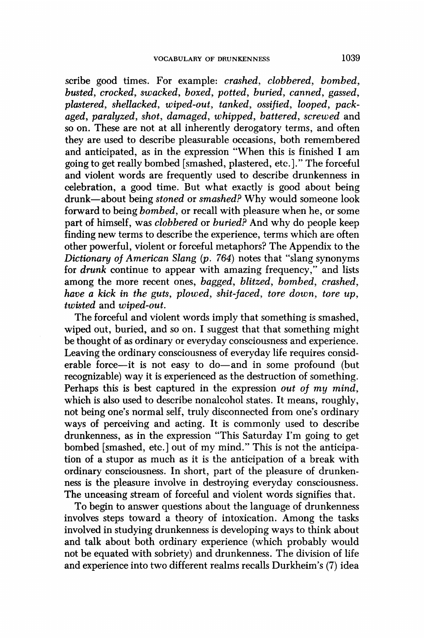**scribe good times. For example: crashed, clobbered, bombed, busted, crocked, swacked, boxed, potted, buried, canned, gassed, plastered, shellacked, wiped-out, tanked, ossified, looped, packaged, paralyzed, shot, damaged, whipped, battered, screwed and so on. These are not at all inherently derogatory terms, and often they are used to describe pleasurable occasions, both remembered and anticipated, as in the expression "When this is finished I am going to get really bombed [smashed, plastered, etc. ]." The forceful and violent words are frequently used to describe drunkenness in celebration, a good time. But what exactly is good about being drunk--about being stoned or smashed? Why would someone look forward to being bombed, or recall with pleasure when he, or some part of himself, was clobbered or buried? And why do people keep finding new terms to describe the experience, terms which are often other powerful, violent or forceful metaphors? The Appendix to the Dictionary of American Slang (p. 764) notes that "slang synonyms for drunk continue to appear with amazing frequency," and lists among the more recent ones, bagged, blitzed, bombed, crashed, have a kick in the guts, plowed, shit-faced, tore down, tore up, twisted and wiped-out.** 

**The forceful and violent words imply that something is smashed, wiped out, buried, and so on. I suggest that that something might be thought of as ordinary or everyday consciousness and experience. Leaving the ordinary consciousness of everyday life requires consid**erable force--it is not easy to do--and in some profound (but **recognizable) way it is experienced as the destruction of something.**  Perhaps this is best captured in the expression *out of my mind*, **which is also used to describe nonalcohol states. It means, roughly, not being one's normal self, truly disconnected from one's ordinary ways of perceiving and acting. It is commonly used to describe drunkenness, as in the expression "This Saturday I'm going to get bombed [smashed, etc.] out of my mind." This is not the anticipation of a stupor as much as it is the anticipation of a break with ordinary consciousness. In short, part of the pleasure of drunkenness is the pleasure involve in destroying everyday consciousness. The unceasing stream of forceful and violent words signifies that.** 

**To begin to answer questions about the language of drunkenness involves steps toward a theory of intoxication. Among the tasks**  involved in studying drunkenness is developing ways to think about **and talk about both ordinary experience (which probably would not be equated with sobriety) and drunkenness. The division of life and experience into two different realms recalls Durkheim's (7) idea**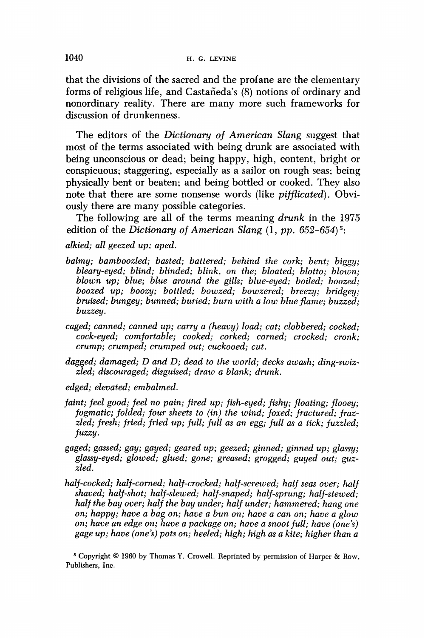**that the divisions of the sacred and the profane are the elementary forms of religious life, and Castafieda's (8) notions of ordinary and nonordinary reality. There are many more such frameworks for discussion of drunkenness.** 

The editors of the *Dictionary of American Slang suggest that* **most of the terms associated with being drunk are associated with being unconscious or dead; being happy, high, content, bright or conspicuous; staggering, especially as a sailor on rough seas; being physically bent or beaten; and being bottled or cooked. They also note that there are some nonsense words (like pifflicated). Obviously there are many possible categories.** 

**The following are all of the terms meaning drunk in the 1975 edition of the Dictionary of American Slang (1, pp. 652-654)5:** 

**alkied; all geezed up; aped.** 

- **balmy; bamboozled; basted; battered; behind the cork; bent; biggy; bleary-eyed; blind; blinded; blink, on the; bloated; blotto; blown; blown up; blue; blue around the gills; blue-eyed; boiled; boozed; boozed up; boozy; bottled; bowzed; bowzered; breezy; bridgey; bruised; bungey; bunned; buried; burn with a low blue flame; buzzed; buzzey.**
- **caged; canned; canned up; carry a (heavy) load; cat; clobbered; cocked; cock-eyed; comfortable; cooked; corked; corned; crocked; cronk; crump; crumped; crumped out; cuckooed; cut.**
- **dagged; damaged; D and D; dead to the world; decks awash; ding-swizzled; discouraged; disguised; draw a blank; drunk.**
- **edged; elevated; embalmed.**
- faint; feel good; feel no pain; fired up; fish-eyed; fishy; floating; flooey; fogmatic; folded; four sheets to (in) the wind; foxed; fractured; fraz**zled; fresh; 3rried; 3rried up; full; full as an egg; full as a tick; fuzzled; fuzzy.**
- **gaged; gassed; gay; gayed; geared up; geezed; ginned; ginned up; glassy; glassy-eyed; glowed; glued; gone; greased; grogged; guyed out; guzzled.**
- **half-cocked; half-corned; half-crocked; half-screwed; half seas over; half** shaved; half-shot; half-slewed; half-snaped; half-sprung; half-stewed; half the bay over; half the bay under; half under; hammered; hang one **on; happy; have a bag on; have a bun on; have a can on; have a glow**  on; have an edge on; have a package on; have a snoot full; have (one's) gage up; have (one's) pots on; heeled; high; high as a kite; higher than a

<sup>5</sup> Copyright  $©$  1960 by Thomas Y. Crowell. Reprinted by permission of Harper & Row, **Publishers, Inc.**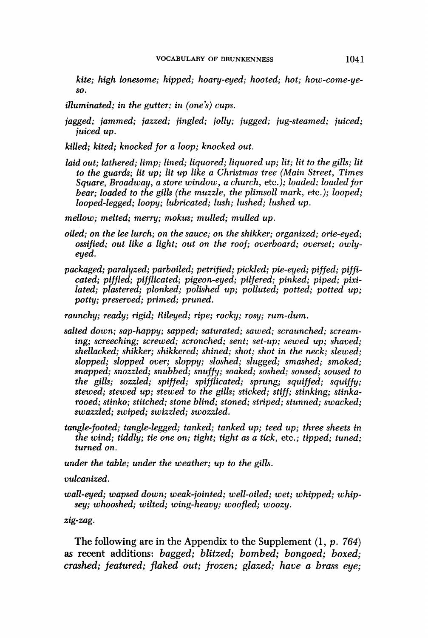**kite; high lonesome; hipped; hoary-eyed; hooted; hot; how-come-ye-SO.** 

- *illuminated; in the gutter; in (one's) cups.*
- **iagged; iammed; iazzed; #ngled; iolly; iugged; iug-steamed; iuiced; iuiced up.**
- **killed; kited; knocked for a loop; knocked out.**
- **laid out; lathered; limp; lined; liquored; liquored up; lit; lit to the gills; lit to the guards; lit up; lit up like a Christmas tree (Main Street, Times**  Square, Broadway, a store window, a church, etc.); loaded; loaded for **bear; loaded to the gills (the muzzle, the plimsoll mark, etc.); looped; looped-legged; loopy; lubricated; lush; lushed; lushed up.**
- **mellow; melted; merry; mokus; mulled; mulled up.**
- **oiled; on the lee lurch; on the sauce; on the shikker; organized; orie-eyed; ossified; out like a light; out on the roof; overboard; overset; owlyeyed.**
- **packaged; paralyzed; parboiled; petrified; pickled; pie-eyed; piffed; pifficated; piffled; pifflicated; pigeon-eyed; pilfered; pinked; piped; pixilated; plastered; plonked; polished up; polluted; potted; potted up; potty; preserved; primed; pruned.**
- **raunchy; ready; rigid; Rileyed; ripe; rocky; rosy; rum-dum.**
- **salted down; sap-happy; sapped; saturated; sawed; scraunched; screaming; screeching; screwed; scronched; sent; set-up; sewed up; shaved; shellacked; shikker; shikkered; shined; shot; shot in the neck; slewed; slopped; slopped over; sloppy; sloshed; slugged; smashed; smoked; snapped; snozzled; snubbed; snuffy; soaked; soshed; soused; soused to the gills; sozzled; spiffed; spifflicated; sprung; squiffed; squiffij; stewed; stewed up; stewed to the gills; sticked; stiff; stinking; stinkarooed; stinko; stitched; stone blind; stoned; striped; stunned; swacked; swazzled; swiped; swizzled; swozzled.**
- **tangle-looted; tangle-legged; tanked; tanked up; teed up; three sheets in the wind; tiddly; tie one on; tight; tight as a tick, etc.; tipped; tuned; turned on.**

**under the table; under the weather; up to the gills.** 

**vulcanized.** 

**wall-eyed; wapsed down; weak-iointed; well-oiled; wet; whipped; whip**sey; whooshed; wilted; wing-heavy; woofled; woozy.

**zig-zag.** 

**The following are in the Appendix to the Supplement (1, p. 764) as recent additions: bagged; blitzed; bombed; bongoed; boxed; crashed; featured; flaked out; frozen; glazed; have a brass eye;**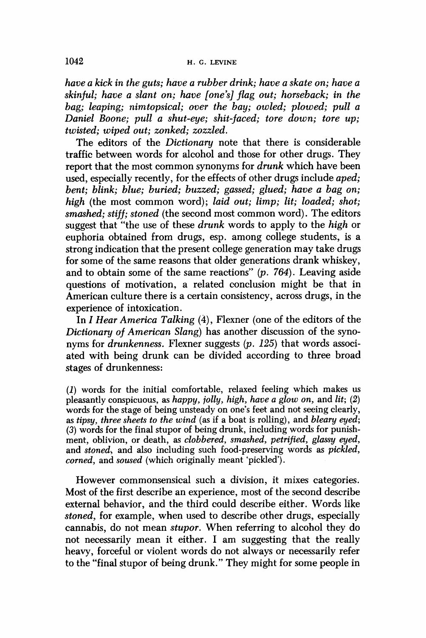**have a kick in the guts; have a rubber drink; have a skate on; have a**  skinful; have a slant on; have *[one's]* flag out; horseback; in the **bag; leaping; nimtopsical; over the bay; owled; plowed; pull a Daniel Boone; pull a shut-eye; shit-laced; tore down; tore up; twisted; wiped out; zonked; zozzled.** 

**The editors of the Dictionary note that there is considerable traffic between words for alcohol and those for other drugs. They report that the most common synonyms for drunk which have been used, especially recently, for the effects of other drugs include aped; bent; blink; blue; buried; buzzed; gassed; glued; have a bag on;**  high (the most common word); *laid out; limp; lit; loaded; shot;* **smashed; stiff; stoned (the second most common word). The editors suggest that "the use of these drunk words to apply to the high or euphoria obtained from drugs, esp. among college students, is a strong indication that the present college generation may take drugs for some of the same reasons that older generations drank whiskey, and to obtain some of the same reactions" (p. 764). Leaving aside questions of motivation, a related conclusion might be that in American culture there is a certain consistency, across drugs, in the experience of intoxication.** 

**In I Hear America Talking (4), Flexner (one of the editors of the**  Dictionary of American Slang) has another discussion of the syno**nyms for drunkenness. Flexner suggests (p. 125) that words associated with being drunk can be divided according to three broad stages of drunkenness:** 

**(1) words for the initial comfortable, relaxed feeling which makes us**  pleasantly conspicuous, as happy, jolly, high, have a glow on, and lit;  $(2)$ **words for the stage of being unsteady on one's feet and not seeing clearly, as tipsy, three sheets to the wind (as if a boat is rolling), and bleary eyed; (3) words for the final stupor of being drunk, including words for punishment, oblivion, or death, as clobbered, smashed, petrified, glassy eyed, and stoned) and also including such food-preserving words as pickled, corned, and soused (which originally meant 'pickled').** 

**However commonsensical such a division, it mixes categories. Most of the first describe an experience, most of the second describe external behavior, and the third could describe either. Words like stoned, for example, when used to describe other drugs, especially cannabis, do not mean stupor. When referring to alcohol they do not necessarily mean it either. I am suggesting that the really heavy, forceful or violent words do not always or necessarily refer to the "final stupor of being drunk." They might for some people in**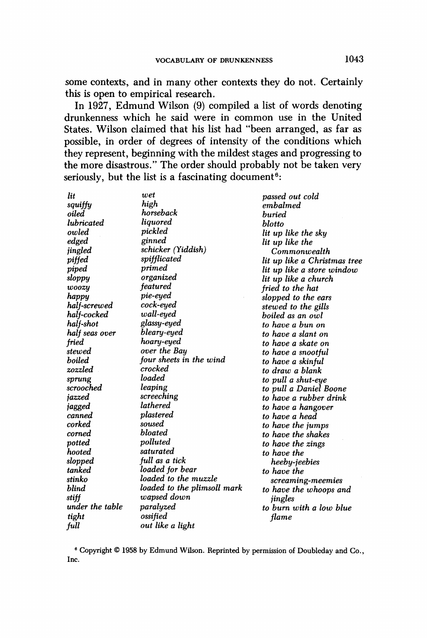**some contexts, and in many other contexts they do not. Certainly this is open to empirical research.** 

**In 1927, Edmund Wilson (9) compiled a list of words denoting drunkenness which he said were in common use in the United States. Wilson claimed that his list had "been arranged, as far as possible, in order of degrees of intensity of the conditions which they represent, beginning with the mildest stages and progressing to the more disastrous." The order should probably not be taken very**  seriously, but the list is a fascinating document<sup>6</sup>:

| lit             | wet                         | passed out cold              |
|-----------------|-----------------------------|------------------------------|
| squiffy         | high                        | embalmed                     |
| oiled           | horseback                   | buried                       |
| lubricated      | liquored                    | blotto                       |
| owled           | pickled                     | lit up like the sky          |
| edged           | ginned                      | lit up like the              |
| jingled         | schicker (Yiddish)          | Commonwealth                 |
| piffed          | spifflicated                | lit up like a Christmas tree |
| piped           | primed                      | lit up like a store window   |
| sloppy          | organized                   | lit up like a church         |
| woozy           | featured                    | fried to the hat             |
| happy           | pie-eyed                    | slopped to the ears          |
| half-screwed    | cock-eyed                   | stewed to the gills          |
| half-cocked     | wall-eyed                   | boiled as an owl             |
| half-shot       | glassy-eyed                 | to have a bun on             |
| half seas over  | bleary-eyed                 | to have a slant on           |
| fried           | hoary-eyed                  | to have a skate on           |
| stewed          | over the Bay                | to have a snootful           |
| boiled          | four sheets in the wind     | to have a skinful            |
| zozzled         | crocked                     | to draw a blank              |
| sprung          | loaded                      | to pull a shut-eye           |
| scrooched       | leaping                     | to pull a Daniel Boone       |
| jazzed          | screeching                  | to have a rubber drink       |
| jagged          | lathered                    | to have a hangover           |
| canned          | plastered                   | to have a head               |
| corked          | soused                      | to have the jumps            |
| corned          | bloated                     | to have the shakes           |
| potted          | polluted                    | to have the zings            |
| hooted          | saturated                   | to have the                  |
| slopped         | full as a tick              | heeby-jeebies                |
| tanked          | loaded for bear             | to have the                  |
| stinko          | loaded to the muzzle        | screaming-meemies            |
| blind           | loaded to the plimsoll mark | to have the whoops and       |
| stiff           | wapsed down                 | jingles                      |
| under the table | paralyzed                   | to burn with a low blue      |
| tight           | ossified                    | flame                        |
| full            | out like a light            |                              |
|                 |                             |                              |

<sup>6</sup> Copyright © 1958 by Edmund Wilson. Reprinted by permission of Doubleday and Co., **Inc.**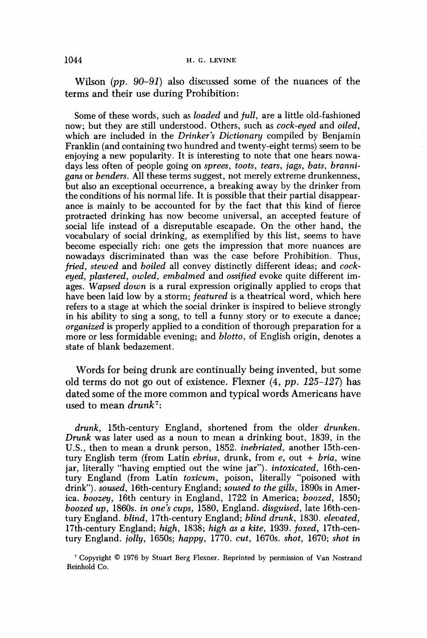**Wilson (pp. 90-91) also discussed some of the nuances of the terms and their use during Prohibition:** 

**Some of these words, such as loaded and full, are a little old-fashioned**  now: but they are still understood. Others, such as *cock-eyed* and *oiled*, which are included in the *Drinker's Dictionary* compiled by Benjamin Franklin (and containing two hundred and twenty-eight terms) seem to be **enjoying a new popularity. It is interesting to note that one hears nowadays less often of people going on sprees, toots, tears, iags, bats, brannigans or benders. All these terms suggest, not merely extreme drunkenness, but also an exceptional occurrence, a breaking away by the drinker from the conditions of his normal life. It is possible that their partial disappearance is mainly to be accounted for by the fact that this kind of fierce protracted drinking has now become universal, an accepted feature of social life instead of a disreputable escapade. On the other hand, the vocabulary of social drinking, as exemplified by this list, seems to have become especially rich: one gets the impression that more nuances are nowadays discriminated than was the case before Prohibition. Thus, fried, stewed and boiled all convey distinctly different ideas; and cockeyed, plastered, owled, embalmed and ossified evoke quite different images. Wapsed down is a rural expression originally applied to crops that have been laid low by a storm; featured is a theatrical word, which here refers to a stage at which the social drinker is inspired to believe strongly in his ability to sing a song, to tell a funny story or to execute a dance; organized is properly applied to a condition of thorough preparation for a more or less formidable evening; and blotto, of English origin, denotes a state of blank bedazement.** 

**Words for being drunk are continually being invented, but some old terms do not go out of existence. Flexner (4, pp. 125-127) has dated some of the more common and typical words Americans have used to mean drunk7:** 

**drunk, 15th-century England, shortened from the older drunken. Drunk was later used as a noun to mean a drinking bout, 1839, in the U.S., then to mean a drunk person, 1852. inebriated, another 15th-century English term (from Latin ebrius, drunk, from e, out + bria, wine iar, literally "having emptied out the wine jar"). intoxicated, 16th-century England (from Latin toxicum, poison, literally "poisoned with drink"). soused, 16th-century England; soused to the gills, 1890s in America. boozey, 16th century in England, 1722 in America; boozed, 1850; boozed up, 1860s. in one's cups, 1580, England. disguised, late 16th-century England. blind, 17th-century England; blind drunk, 1830. elevated, 17th-century England; high, 1838; high as a kite, 1939. foxed, 17th-century England. iolly, 1650s; happy, 1770. cut, 1670s. shot, 1670; shot in** 

<sup>7</sup> Copyright © 1976 by Stuart Berg Flexner. Reprinted by permission of Van Nostrand **Reinhold Co.**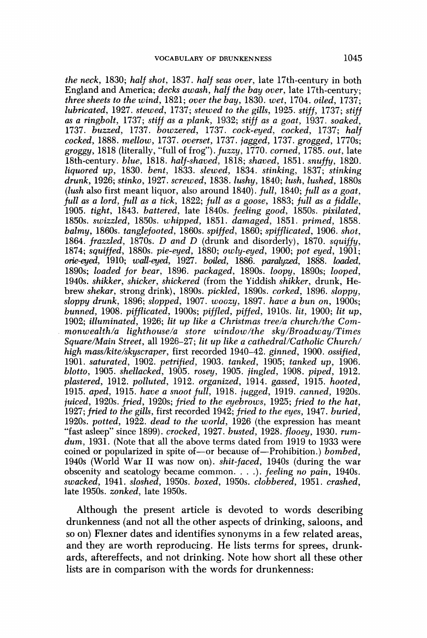**the neck, 1830; half shot, 1837. half seas over, late 17th-century in both England and America; decks awash, half the bay over, late 17th-century; three sheets to the wind, 1821; over the bay, 1830. wet, 1704. oiled, 1737; lubricated, 1927. stewed, 1737; stewed to the gills, 1925. stiff, 1737; stiff as a ringbolt, 1737; stiff as a plank, 1932; stiff as a goat, 1937. soaked, 1737. buzzed, 1737. bowzered, 1737. cock-eyed, cocked, 1737; half cocked, 1888. mellow, 1737. overset, 1737. jagged, 1737. grogged, 1770s; groggy, 1818 (literally, "full of frog"). fuzzy, 1770. corned, 1785. out, late 18th-century. blue, 1818. half-shaved, 1818; shaved, 1851. snuffy, 1820. liquored up, 1830. bent, 1833. slewed, 1834. stinking, 1837; stinking drunk, 1926; stinko, 1927. screwed, 1838. lushy, 1840; lush, lushed, 1880s (lush also first meant liquor, also around 1840). full, 1840; full as a goat, full as a lord, full as a tick, 1822; full as a goose, 1883; full as a fiddle, 1905. tight, 1843. battered, late 1840s. feeling good, 1850s. pixilated, 1850s. swizzled, 1850s. whipped, 1851. damaged, 1851. primed, 1858.**  balmy, 1860s. tanglefooted, 1860s. spiffed, 1860; spifflicated, 1906. shot, 1864. frazzled, 1870s. *D and D (drunk and disorderly)*, 1870. squiffy, **1874; squiffed, 1880s. pie-eyed, 1880; owly-eyed, 1900; pot eyed, 1901; or/e-eyed, 1910; wall-eyed, 1927. bo//ed, 1886. paralyzed, 1888. /oaded, 1890s; loaded for bear, 1896. packaged, 1890s. loopy, 1890s; looped, 1940s. shikker, shicker, shickered (from the Yiddish shikker, drunk, Hebrew shekar, strong drink), 1890s. pickled, 1890s. corked, 1896. sloppy, sloppy drunk, 1896; slopped, 1907. woozy, 1897. have a bun on, 1900s; bunned, 1908. pifflicated, 1900s; piffled, piffed, 1910s. lit, 1900; lit up, 1902; illuminated, 1926; lit up like a Christmas tree/a church/the Commonwealth/a lighthouse/a store window/the sky/Broadway/Times Square/Main Street, all 1926-27; lit up like a cathedral/Catholic Church/ high mass/kite/skyscraper, fist recorded 1940-42. ginned, 1900. ossified, 1901. saturated, 1902. petrified, 1903. tanked, 1905; tanked up, 1906. blotto, 1905. shellacked, 1905. rosey, 1905. jingled, 1908. piped, 1912. plastered, 1912. polluted, 1912. organized, 1914. gassed, 1915. hooted, 1915. aped, 1915. have a snoot full, 1918. jugged, 1919. canned, 1920s. juiced, 1920s. fried, 1920s; fried to the eyebrows, 1925; fried to the hat, 1927; fried to the gills, first recorded 1942; fried to the eyes, 1947. buried, 1920s. potted, 1922. dead to the world, 1926 (the expression has meant "fast asleep" since 1899). crocked, 1927. busted, 1928. flooey, 1930. rumdum, 1931. (Note that all the above terms dated from 1919 to 1933 were**  coined or popularized in spite of-or because of-Prohibition.) bombed, **1940s (World War II was now on). shit-faced, 1940s (during the war obscenity and scatology became common .... ). feeling no pain, 1940s. swacked, 1941. sloshed, 1950s. boxed, 1950s. clobbered, 1951. crashed, late 1950s. zonked, late 1950s.** 

**Although the present article is devoted to words describing drunkenness (and not all the other aspects of drinking, saloons, and so on) Flexner dates and identifies synonyms in a few related areas, and they are worth reproducing. He lists terms for sprees, drunkards, aftereffects, and not drinking. Note how short all these other lists are in comparison with the words for drunkenness:**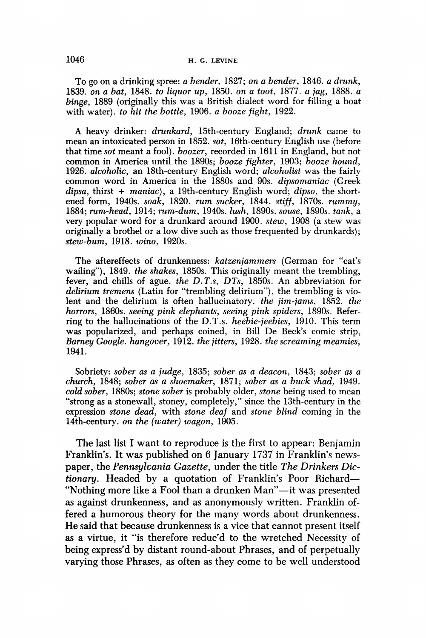#### H. G. LEVINE

**To go on a drinking spree: a bender, 1827; on a bender, 1846. a drunk, 1839. on a bat, 1848. to liquor up, 1850. on a toot, 1877. a iag, 1888. a binge, 1889 (originally this was a British dialect word for filling a boat**  with water). to hit the bottle, 1906. a booze fight, 1922.

**A heavy drinker: drunkard, 15th-century England; drunk came to mean an intoxicated person in 1852. sot, 16th-century English use (before that time sot meant a fool). boozer, recorded in 1611 in England, but not**  common in America until the 1890s; booze fighter, 1903; booze hound, **1926. alcoholic, an 18th-century English word; alcoholist was the fairly common word in America in the 1880s and 90s. dipsomaniac (Greek dipsa, thirst + maniac), a 19th-century English word; dipso, the shortened form, 1940s. soak, 1820. rum sucker, 1844. stiff, 1870s. rummy, 1884; rum-head, 1914; rum-dum, 1940s. lush, 1890s. souse, 1890s. tank, a very popular word for a drunkard around 1900. stew, 1908 (a stew was originally a brothel or a low dive such as those frequented by drunkards); stew-bum, 1918. wino, 1920s.** 

**The aftereffects of drunkenness: katzeniammers (German for "cat's wailing"), 1849. the shakes, 1850s. This originally meant the trembling, fever, and chills of ague. the D.T.s, DTs, 1850s. An abbreviation for**  delirium tremens (Latin for "trembling delirium"), the trembling is vio**lent and the delirium is often hallucinatory. the iim-iams, 1852. the horrors, 1860s. seeing pink elephants, seeing pink spiders, 1890s. Referring to the hallucinations of the D.T.s. heebie-ieebies, 1910. This term was popularized, and perhaps coined, in Bill De Beck's comic strip, Barney Google. hangover, 1912. the jitters, 1928. the screaming meamies, 1941.** 

**Sobriety: sober as a iudge, 1835; sober as a deacon, 1843; sober as a church, 1848; sober as a shoemaker, 1871; sober as a buck shad, 1949. cold sober, 1880s; stone sober is probably older, stone being used to mean "strong as a stonewall, stoney, completely," since the 13th-century in the expression stone dead, with stone deaf and stone blind coming in the 14th-century. on the (water) wagon, 1905.** 

**The last list I want to reproduce is the first to appear: Beniamin Franklin's. It was published on 6 January 1737 in Franklin's newspaper, the Pennsylvania Gazette, under the title The Drinkers Dictionary. Headed by a quotation of Franklin's Poor Richard--**  "Nothing more like a Fool than a drunken Man"—it was presented **as against drunkenness, and as anonymously written. Franklin offered a humorous theory for the many words about drunkenness. He said that because drunkenness is a vice that cannot present itself as a virtue, it "is therefore reduc'd to the wretched Necessity of being express'd by distant round-about Phrases, and of perpetually varying those Phrases, as often as they come to be well understood**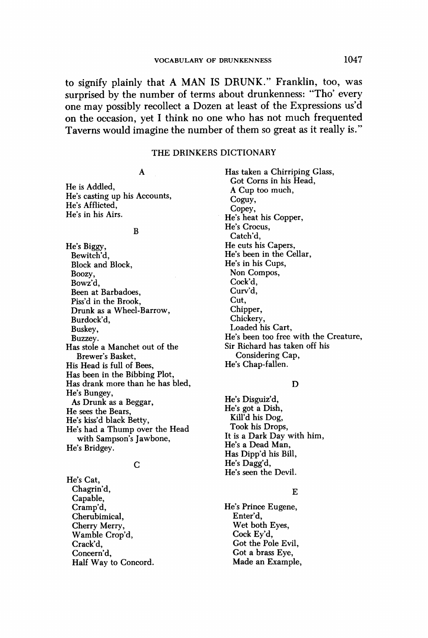**to signify plainly that A MAN IS DRUNK." Franklin, too, was surprised by the number of terms about drunkenness: "Tho' every one may possibly recollect a Dozen at least of the Expressions us'd on the occasion, yet I think no one who has not much frequented Taverns would imagine the number of them so great as it really is."** 

# **THE DRINKERS DICTIONARY**

# $\mathbf{A}$

**He is Addled, He's casting up his Accounts, He's Afflicted, He's in his Airs.** 

# **B**

**He's Biggy, Bewitch'd, Block and Block, Boozy, Bowz'd, Been at Barbadoes, Piss'd in the Brook, Drunk as a Wheel-Barrow, Burdock'd, Buskey, Buzzey. Has stole a Manchet out of the Brewer's Basket, His Head is full of Bees, Has been in the Bibbing Plot, Has drank more than he has bled, He's Bungey, As Drunk as a Beggar, He sees the Bears, He's kiss'd black Betty, He's had a Thump over the Head with Sampson's Jawbone, He's Bridgey.** 

# **C**

**He's Cat, Chagrin'd, Capable, Cramp'd, Cherubimical, Cherry Merry, Wamble Crop'd, Crack'd, Concern'd, Half Way to Concord.**  **Has taken a Chirriping Glass, Got Corns in his Head, A Cup too much, Coguy, Copey, He's heat his Copper, He's Crocus, Catch'd, He cuts his Capers, He's been in the Cellar, He's in his Cups, Non Compos, Cock'd, Curv'd, Cut, Chipper,**  Chickery, **Loaded his Cart, He's been too free with the Creature, Sir Richard has taken off his Considering Cap, He's Chap-fallen.** 

# **D**

**He's Disguiz'd, He's got a Dish, Kill'd his Dog, Took his Drops, It is a Dark Day with him, He's a Dead Man, Has Dipp'd his Bill, He's Dagg'd, He's seen the Devil.** 

#### E

**He's Prince Eugene, Enter'd, Wet both Eyes, Cock Ey'd, Got the Pole Evil, Got a brass Eye, Made an Example,**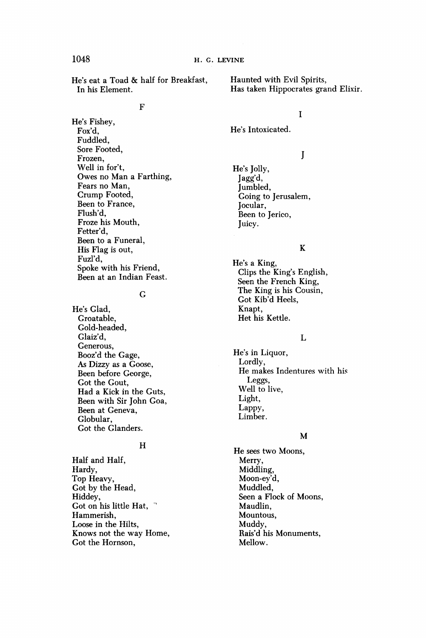**He's eat a Toad & half for Breakfast, In his Element.** 

**Haunted with Evil Spirits, Has taken Hippocrates grand Elixir.** 

#### F

**He's Fishey, Fox'd, Fuddled, Sore Footed, Frozen, Well in for't, Owes no Man a Farthing, Fears no Man, Crump Footed, Been to France, Flush'd, Froze his Mouth, Fetter'd, Been to a Funeral, His Flag is out, Fuzl'd, Spoke with his Friend, Been at an Indian Feast.** 

# G.

**He's Glad, Groatable, Gold-headed, Glaiz'd, Generous, Booz'd the Gage, As Dizzy as a Goose, Been before George, Got the Gout, Had a Kick in the Guts, Been with Sir John Goa, Been at Geneva, Globular, Got the Glanders.** 

# **H**

**Half and Half, Hardy, Top Heavy, Got by the Head, Hiddey, Got on his little Hat," Hammerish, Loose in the Hilts, Knows not the way Home, Got the Hornson,** 

# **I**

**He's Intoxicated.** 

# $\mathbf{I}$

**He's Jolly, Jagg'd, Jumbled, Going to Jerusalem, Jocular, Been to Jerico, Juicy.** 

# $\bf K$

**He's a King, Clips the King's English, Seen the French King, The King is his Cousin, Got Kib'd Heels, Knapt, Het his Kettle.** 

# **L**

**He's in Liquor, Lordly, He makes Indentures with his Leggs, Well to live, Light, Lappy, Limber.** 

#### **M**

**He sees two Moons, Merry, Middling, Moon-ey'd, Muddled, Seen a Flock of Moons, Maudlin, Mountous, Muddy, Rais'd his Monuments, Mellow.**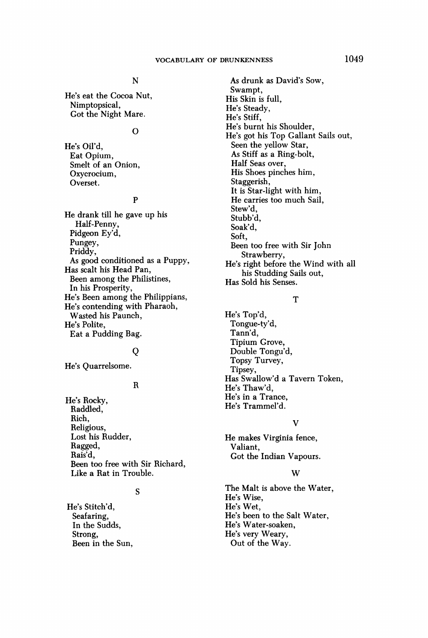**He's eat the Cocoa Nut, Nimptopsical, Got the Night Mare.** 

#### **O**

**He's Oil'd, Eat Opium, Smelt of an Onion, Oxyerocium, Overset.** 

# $\mathbf{P}$

**He drank till he gave up his Half-Penny, Pidgeon Ey'd, Pungey, Priddy, As good conditioned as a Puppy, Has seaIt his Head Pan, Been among the Philistines, In his Prosperity, He's Been among the Philippians, He's contending with Pharaoh, Wasted his Paunch, He's Polite, Eat a Pudding Bag.** 

#### **Q**

**He's Quarrelsome.** 

#### $\mathbf R$

**He's Rocky, Raddled, Rich, Religious, Lost his Rudder, Ragged, Rais'd, Been too free with Sir Richard, Like a Rat in Trouble.** 

#### S

**He's Stitch'd, Seafaring, In the Sudds, Strong, Been in the Sun,** 

**As drunk as David's Sow, Swampt, His Skin is full, He's Steady, He's Stiff, He's burnt his Shoulder, He's got his Top Gallant Sails out, Seen the yellow Star, As Stiff as a Ring-bolt, Half Seas over, His Shoes pinches him, Staggerish, It is Star-light with him, He carries too much Sail, Stew'd, Stubb'd, Soak'd, Soft, Been too free with Sir John Strawberry, He's right before the Wind with all his Studding Sails out, Has Sold his Senses.** 

#### T

**He's Top'd, Tongue-ty'd, Tann'd, Tipium Grove, Double Tongu'd, Topsy Turvey, Tipsey, Has Swallow'd a Tavern Token, He's Thaw'd, He's in a Trance, He's Trammel'd.** 

# **V**

**He makes Virginia fence, Valiant, Got the Indian Vapours.** 

#### **W**

**The Malt is above the Water, He's Wise, He's Wet, He's been to the Salt Water, He's Water-soaken, He's very Weary, Out of the Way.**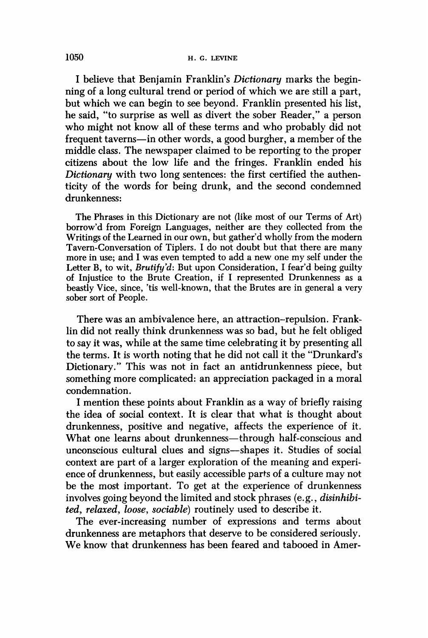**I believe that Benjamin Franklin's Dictionary marks the beginning of a long cultural trend or period of which we are still a part, but which we can begin to see beyond. Franklin presented his list, he said, "to surprise as well as divert the sober Reader," a person who might not know all of these terms and who probably did not**  frequent taverns-in other words, a good burgher, a member of the **middle class. The newspaper claimed to be reporting to the proper citizens about the low life and the fringes. Franklin ended his Dictionary with two long sentences: the first certified the authenticity of the words for being drunk, and the second condemned drunkenness:** 

**The Phrases in this Dictionary are not (like most of our Terms of Art) borrow'd from Foreign Languages, neither are they collected from the**  Writings of the Learned in our own, but gather'd wholly from the modern **Tavern-Conversation of Tiplers. I do not doubt but that there are many more in use; and I was even tempted to add a new one my self under the Letter B, to wit, Brutify'd: But upon Consideration, I fear'd being guilty of Injustice to the Brute Creation, if I represented Drunkenness as a beastly Vice, since, 'tis well-known, that the Brutes are in general a very sober sort of People.** 

**There was an ambivalence here, an attraction-repulsion. Franklin did not really think drunkenness was so bad, but he felt obliged to say it was, while at the same time celebrating it by presenting all the terms. It is worth noting that he did not call it the "Drunkard's Dictionary." This was not in fact an antidrunkenness piece, but something more complicated: an appreciation packaged in a moral condemnation.** 

**I mention these points about Franklin as a way of briefly raising the idea of social context. It is clear that what is thought about drunkenness, positive and negative, affects the experience of it.**  What one learns about drunkenness—through half-conscious and **unconscious cultural clues and signs--shapes it. Studies of social context are part of a larger exploration of the meaning and experience of drunkenness, but easily accessible parts of a culture may not be the most important. To get at the experience of drunkenness involves going beyond the limited and stock phrases (e. g., disinhibited, relaxed, loose, sociable) routinely used to describe it.** 

**The ever-increasing number of expressions and terms about drunkenness are metaphors that deserve to be considered seriously. We know that drunkenness has been feared and tabooed in Amer-**